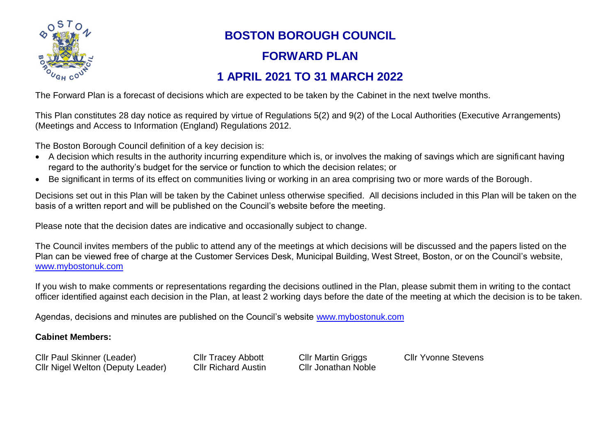

## **BOSTON BOROUGH COUNCIL**

## **FORWARD PLAN**

## **1 APRIL 2021 TO 31 MARCH 2022**

The Forward Plan is a forecast of decisions which are expected to be taken by the Cabinet in the next twelve months.

This Plan constitutes 28 day notice as required by virtue of Regulations 5(2) and 9(2) of the Local Authorities (Executive Arrangements) (Meetings and Access to Information (England) Regulations 2012.

The Boston Borough Council definition of a key decision is:

- A decision which results in the authority incurring expenditure which is, or involves the making of savings which are significant having regard to the authority's budget for the service or function to which the decision relates; or
- Be significant in terms of its effect on communities living or working in an area comprising two or more wards of the Borough.

Decisions set out in this Plan will be taken by the Cabinet unless otherwise specified. All decisions included in this Plan will be taken on the basis of a written report and will be published on the Council's website before the meeting.

Please note that the decision dates are indicative and occasionally subject to change.

The Council invites members of the public to attend any of the meetings at which decisions will be discussed and the papers listed on the Plan can be viewed free of charge at the Customer Services Desk, Municipal Building, West Street, Boston, or on the Council's website, [www.mybostonuk.com](http://www.mybostonuk.com/)

If you wish to make comments or representations regarding the decisions outlined in the Plan, please submit them in writing to the contact officer identified against each decision in the Plan, at least 2 working days before the date of the meeting at which the decision is to be taken.

Agendas, decisions and minutes are published on the Council's website [www.mybostonuk.com](http://www.mybostonuk.com/)

## **Cabinet Members:**

Cllr Paul Skinner (Leader) Cllr Tracey Abbott Cllr Martin Griggs Cllr Yvonne Stevens Cllr Nigel Welton (Deputy Leader) Cllr Richard Austin Cllr Jonathan Noble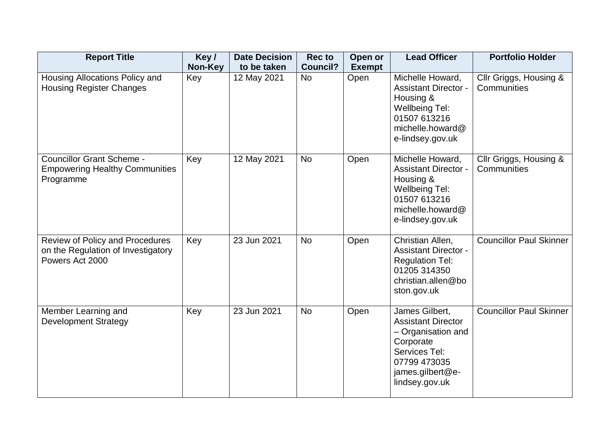| <b>Report Title</b>                                                                             | Key/    | <b>Date Decision</b> | <b>Rec to</b>   | Open or       | <b>Lead Officer</b>                                                                                                                                   | <b>Portfolio Holder</b>               |
|-------------------------------------------------------------------------------------------------|---------|----------------------|-----------------|---------------|-------------------------------------------------------------------------------------------------------------------------------------------------------|---------------------------------------|
|                                                                                                 | Non-Key | to be taken          | <b>Council?</b> | <b>Exempt</b> |                                                                                                                                                       |                                       |
| Housing Allocations Policy and<br><b>Housing Register Changes</b>                               | Key     | 12 May 2021          | <b>No</b>       | Open          | Michelle Howard,<br><b>Assistant Director -</b><br>Housing &<br><b>Wellbeing Tel:</b><br>01507 613216<br>michelle.howard@<br>e-lindsey.gov.uk         | Cllr Griggs, Housing &<br>Communities |
| <b>Councillor Grant Scheme -</b><br><b>Empowering Healthy Communities</b><br>Programme          | Key     | 12 May 2021          | <b>No</b>       | Open          | Michelle Howard,<br><b>Assistant Director -</b><br>Housing &<br><b>Wellbeing Tel:</b><br>01507 613216<br>michelle.howard@<br>e-lindsey.gov.uk         | Cllr Griggs, Housing &<br>Communities |
| <b>Review of Policy and Procedures</b><br>on the Regulation of Investigatory<br>Powers Act 2000 | Key     | 23 Jun 2021          | <b>No</b>       | Open          | Christian Allen,<br><b>Assistant Director -</b><br><b>Regulation Tel:</b><br>01205 314350<br>christian.allen@bo<br>ston.gov.uk                        | <b>Councillor Paul Skinner</b>        |
| Member Learning and<br><b>Development Strategy</b>                                              | Key     | 23 Jun 2021          | <b>No</b>       | Open          | James Gilbert,<br><b>Assistant Director</b><br>- Organisation and<br>Corporate<br>Services Tel:<br>07799 473035<br>james.gilbert@e-<br>lindsey.gov.uk | <b>Councillor Paul Skinner</b>        |